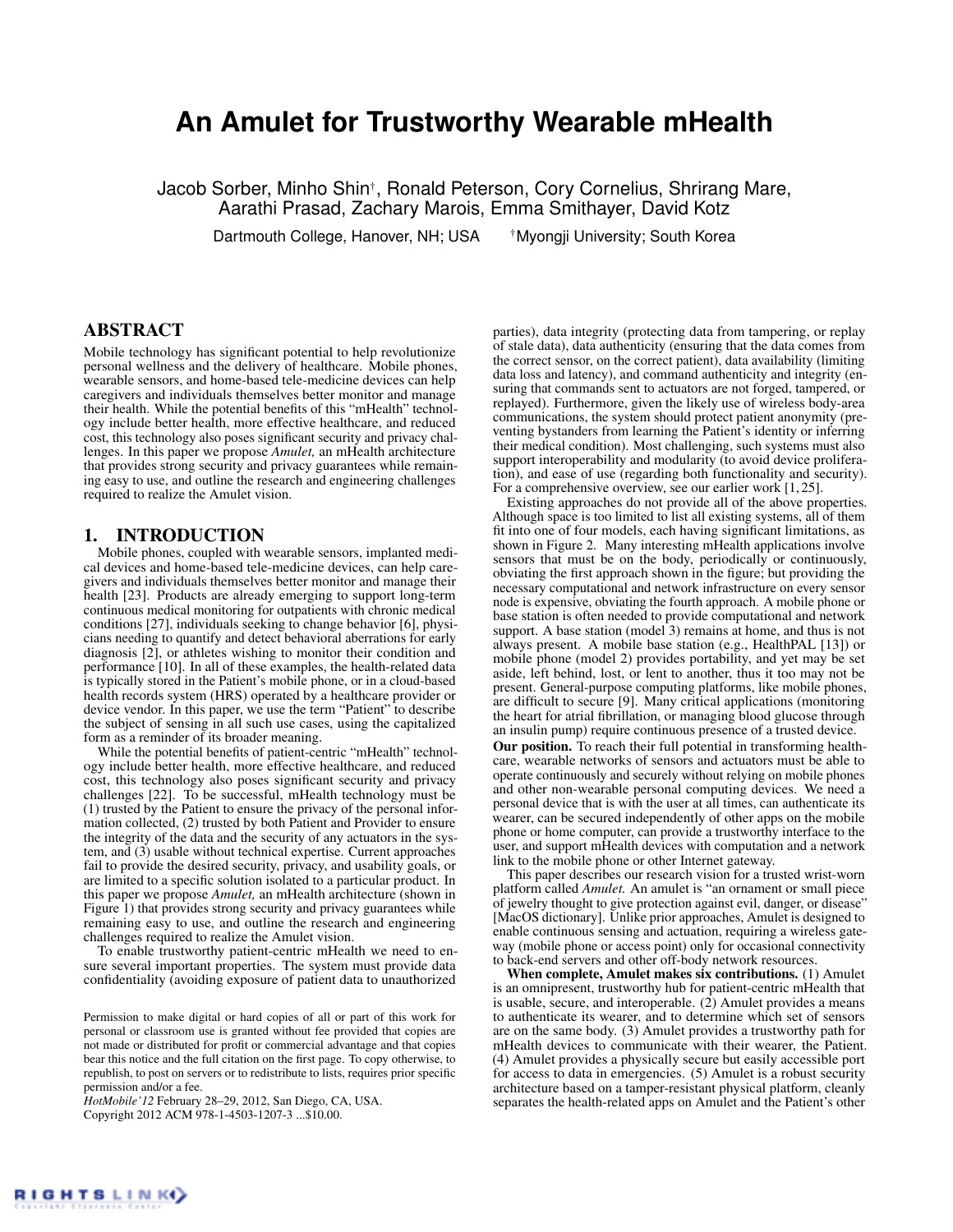# **An Amulet for Trustworthy Wearable mHealth**

Jacob Sorber, Minho Shin† , Ronald Peterson, Cory Cornelius, Shrirang Mare, Aarathi Prasad, Zachary Marois, Emma Smithayer, David Kotz

Dartmouth College, Hanover, NH; USA <sup>†</sup>Myongji University; South Korea

# ABSTRACT

Mobile technology has significant potential to help revolutionize personal wellness and the delivery of healthcare. Mobile phones, wearable sensors, and home-based tele-medicine devices can help caregivers and individuals themselves better monitor and manage their health. While the potential benefits of this "mHealth" technology include better health, more effective healthcare, and reduced cost, this technology also poses significant security and privacy challenges. In this paper we propose *Amulet,* an mHealth architecture that provides strong security and privacy guarantees while remaining easy to use, and outline the research and engineering challenges required to realize the Amulet vision.

### 1. INTRODUCTION

Mobile phones, coupled with wearable sensors, implanted medical devices and home-based tele-medicine devices, can help caregivers and individuals themselves better monitor and manage their health [\[23\]](#page-5-0). Products are already emerging to support long-term continuous medical monitoring for outpatients with chronic medical conditions [\[27\]](#page-5-1), individuals seeking to change behavior [\[6\]](#page-5-2), physicians needing to quantify and detect behavioral aberrations for early diagnosis [\[2\]](#page-5-3), or athletes wishing to monitor their condition and performance [\[10\]](#page-5-4). In all of these examples, the health-related data is typically stored in the Patient's mobile phone, or in a cloud-based health records system (HRS) operated by a healthcare provider or device vendor. In this paper, we use the term "Patient" to describe the subject of sensing in all such use cases, using the capitalized form as a reminder of its broader meaning.

While the potential benefits of patient-centric "mHealth" technology include better health, more effective healthcare, and reduced cost, this technology also poses significant security and privacy challenges [\[22\]](#page-5-5). To be successful, mHealth technology must be (1) trusted by the Patient to ensure the privacy of the personal information collected, (2) trusted by both Patient and Provider to ensure the integrity of the data and the security of any actuators in the system, and (3) usable without technical expertise. Current approaches fail to provide the desired security, privacy, and usability goals, or are limited to a specific solution isolated to a particular product. In this paper we propose *Amulet,* an mHealth architecture (shown in Figure [1\)](#page-1-0) that provides strong security and privacy guarantees while remaining easy to use, and outline the research and engineering challenges required to realize the Amulet vision.

To enable trustworthy patient-centric mHealth we need to ensure several important properties. The system must provide data confidentiality (avoiding exposure of patient data to unauthorized

*HotMobile'12* February 28–29, 2012, San Diego, CA, USA. Copyright 2012 ACM 978-1-4503-1207-3 ...\$10.00.

parties), data integrity (protecting data from tampering, or replay of stale data), data authenticity (ensuring that the data comes from the correct sensor, on the correct patient), data availability (limiting data loss and latency), and command authenticity and integrity (ensuring that commands sent to actuators are not forged, tampered, or replayed). Furthermore, given the likely use of wireless body-area communications, the system should protect patient anonymity (preventing bystanders from learning the Patient's identity or inferring their medical condition). Most challenging, such systems must also support interoperability and modularity (to avoid device proliferation), and ease of use (regarding both functionality and security). For a comprehensive overview, see our earlier work [\[1,](#page-5-6) [25\]](#page-5-7).

Existing approaches do not provide all of the above properties. Although space is too limited to list all existing systems, all of them fit into one of four models, each having significant limitations, as shown in Figure [2.](#page-2-0) Many interesting mHealth applications involve sensors that must be on the body, periodically or continuously, obviating the first approach shown in the figure; but providing the necessary computational and network infrastructure on every sensor node is expensive, obviating the fourth approach. A mobile phone or base station is often needed to provide computational and network support. A base station (model 3) remains at home, and thus is not always present. A mobile base station (e.g., HealthPAL [\[13\]](#page-5-8)) or mobile phone (model 2) provides portability, and yet may be set aside, left behind, lost, or lent to another, thus it too may not be present. General-purpose computing platforms, like mobile phones, are difficult to secure [\[9\]](#page-5-9). Many critical applications (monitoring the heart for atrial fibrillation, or managing blood glucose through an insulin pump) require continuous presence of a trusted device.

Our position. To reach their full potential in transforming healthcare, wearable networks of sensors and actuators must be able to operate continuously and securely without relying on mobile phones and other non-wearable personal computing devices. We need a personal device that is with the user at all times, can authenticate its wearer, can be secured independently of other apps on the mobile phone or home computer, can provide a trustworthy interface to the user, and support mHealth devices with computation and a network link to the mobile phone or other Internet gateway.

This paper describes our research vision for a trusted wrist-worn platform called *Amulet.* An amulet is "an ornament or small piece of jewelry thought to give protection against evil, danger, or disease" [MacOS dictionary]. Unlike prior approaches, Amulet is designed to enable continuous sensing and actuation, requiring a wireless gateway (mobile phone or access point) only for occasional connectivity to back-end servers and other off-body network resources.

When complete, Amulet makes six contributions. (1) Amulet is an omnipresent, trustworthy hub for patient-centric mHealth that is usable, secure, and interoperable. (2) Amulet provides a means to authenticate its wearer, and to determine which set of sensors are on the same body. (3) Amulet provides a trustworthy path for mHealth devices to communicate with their wearer, the Patient. (4) Amulet provides a physically secure but easily accessible port for access to data in emergencies. (5) Amulet is a robust security architecture based on a tamper-resistant physical platform, cleanly separates the health-related apps on Amulet and the Patient's other

Permission to make digital or hard copies of all or part of this work for personal or classroom use is granted without fee provided that copies are not made or distributed for profit or commercial advantage and that copies bear this notice and the full citation on the first page. To copy otherwise, to republish, to post on servers or to redistribute to lists, requires prior specific permission and/or a fee.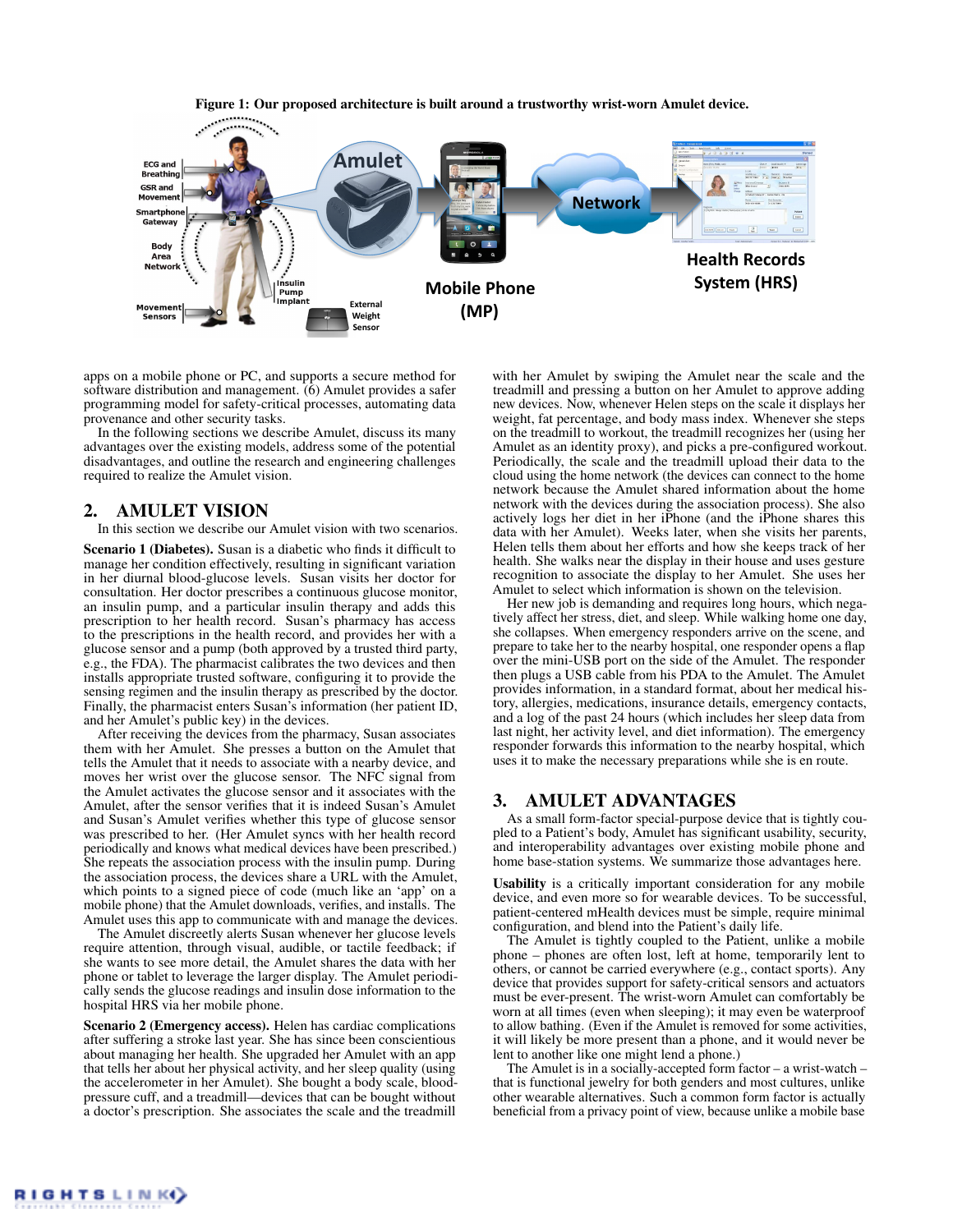<span id="page-1-0"></span>

apps on a mobile phone or PC, and supports a secure method for software distribution and management. (6) Amulet provides a safer programming model for safety-critical processes, automating data provenance and other security tasks.

In the following sections we describe Amulet, discuss its many advantages over the existing models, address some of the potential disadvantages, and outline the research and engineering challenges required to realize the Amulet vision.

### <span id="page-1-2"></span>2. AMULET VISION

In this section we describe our Amulet vision with two scenarios.

Scenario 1 (Diabetes). Susan is a diabetic who finds it difficult to manage her condition effectively, resulting in significant variation in her diurnal blood-glucose levels. Susan visits her doctor for consultation. Her doctor prescribes a continuous glucose monitor, an insulin pump, and a particular insulin therapy and adds this prescription to her health record. Susan's pharmacy has access to the prescriptions in the health record, and provides her with a glucose sensor and a pump (both approved by a trusted third party, e.g., the FDA). The pharmacist calibrates the two devices and then installs appropriate trusted software, configuring it to provide the sensing regimen and the insulin therapy as prescribed by the doctor. Finally, the pharmacist enters Susan's information (her patient ID, and her Amulet's public key) in the devices.

After receiving the devices from the pharmacy, Susan associates them with her Amulet. She presses a button on the Amulet that tells the Amulet that it needs to associate with a nearby device, and moves her wrist over the glucose sensor. The NFC signal from the Amulet activates the glucose sensor and it associates with the Amulet, after the sensor verifies that it is indeed Susan's Amulet and Susan's Amulet verifies whether this type of glucose sensor was prescribed to her. (Her Amulet syncs with her health record periodically and knows what medical devices have been prescribed.) She repeats the association process with the insulin pump. During the association process, the devices share a URL with the Amulet, which points to a signed piece of code (much like an 'app' on a mobile phone) that the Amulet downloads, verifies, and installs. The Amulet uses this app to communicate with and manage the devices.

The Amulet discreetly alerts Susan whenever her glucose levels require attention, through visual, audible, or tactile feedback; if she wants to see more detail, the Amulet shares the data with her phone or tablet to leverage the larger display. The Amulet periodically sends the glucose readings and insulin dose information to the hospital HRS via her mobile phone.

Scenario 2 (Emergency access). Helen has cardiac complications after suffering a stroke last year. She has since been conscientious about managing her health. She upgraded her Amulet with an app that tells her about her physical activity, and her sleep quality (using the accelerometer in her Amulet). She bought a body scale, bloodpressure cuff, and a treadmill—devices that can be bought without a doctor's prescription. She associates the scale and the treadmill

with her Amulet by swiping the Amulet near the scale and the treadmill and pressing a button on her Amulet to approve adding new devices. Now, whenever Helen steps on the scale it displays her weight, fat percentage, and body mass index. Whenever she steps on the treadmill to workout, the treadmill recognizes her (using her Amulet as an identity proxy), and picks a pre-configured workout. Periodically, the scale and the treadmill upload their data to the cloud using the home network (the devices can connect to the home network because the Amulet shared information about the home network with the devices during the association process). She also actively logs her diet in her iPhone (and the iPhone shares this data with her Amulet). Weeks later, when she visits her parents, Helen tells them about her efforts and how she keeps track of her health. She walks near the display in their house and uses gesture recognition to associate the display to her Amulet. She uses her Amulet to select which information is shown on the television.

Her new job is demanding and requires long hours, which negatively affect her stress, diet, and sleep. While walking home one day, she collapses. When emergency responders arrive on the scene, and prepare to take her to the nearby hospital, one responder opens a flap over the mini-USB port on the side of the Amulet. The responder then plugs a USB cable from his PDA to the Amulet. The Amulet provides information, in a standard format, about her medical history, allergies, medications, insurance details, emergency contacts, and a log of the past 24 hours (which includes her sleep data from last night, her activity level, and diet information). The emergency responder forwards this information to the nearby hospital, which uses it to make the necessary preparations while she is en route.

#### <span id="page-1-1"></span>3. AMULET ADVANTAGES

As a small form-factor special-purpose device that is tightly coupled to a Patient's body, Amulet has significant usability, security, and interoperability advantages over existing mobile phone and home base-station systems. We summarize those advantages here.

Usability is a critically important consideration for any mobile device, and even more so for wearable devices. To be successful, patient-centered mHealth devices must be simple, require minimal configuration, and blend into the Patient's daily life.

The Amulet is tightly coupled to the Patient, unlike a mobile phone – phones are often lost, left at home, temporarily lent to others, or cannot be carried everywhere (e.g., contact sports). Any device that provides support for safety-critical sensors and actuators must be ever-present. The wrist-worn Amulet can comfortably be worn at all times (even when sleeping); it may even be waterproof to allow bathing. (Even if the Amulet is removed for some activities, it will likely be more present than a phone, and it would never be lent to another like one might lend a phone.)

The Amulet is in a socially-accepted form factor – a wrist-watch – that is functional jewelry for both genders and most cultures, unlike other wearable alternatives. Such a common form factor is actually beneficial from a privacy point of view, because unlike a mobile base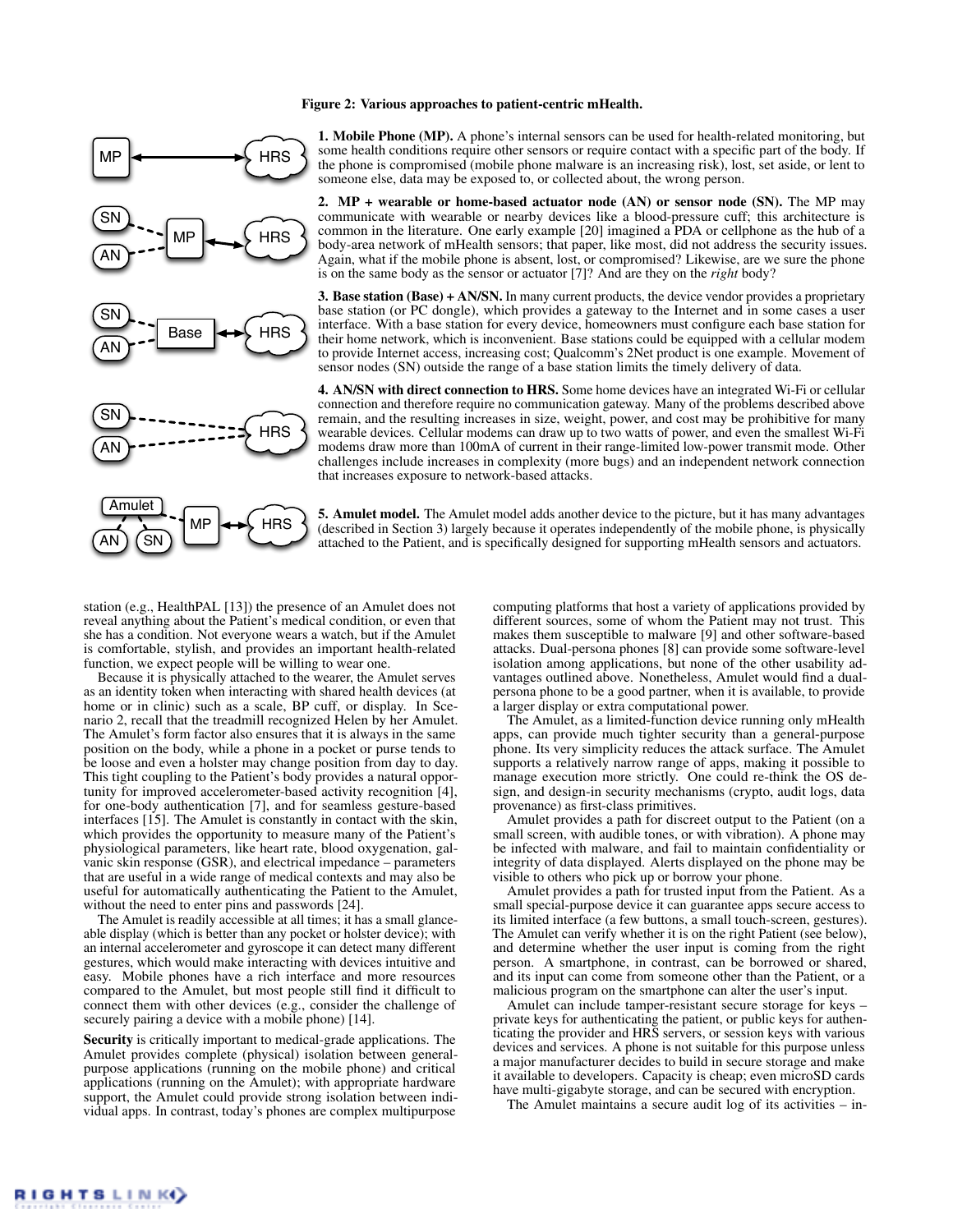#### <span id="page-2-0"></span>Figure 2: Various approaches to patient-centric mHealth.



AN SN

1. Mobile Phone (MP). A phone's internal sensors can be used for health-related monitoring, but some health conditions require other sensors or require contact with a specific part of the body. If the phone is compromised (mobile phone malware is an increasing risk), lost, set aside, or lent to someone else, data may be exposed to, or collected about, the wrong person.

2. MP + wearable or home-based actuator node  $(AN)$  or sensor node  $(SN)$ . The MP may communicate with wearable or nearby devices like a blood-pressure cuff; this architecture is common in the literature. One early example [\[20\]](#page-5-10) imagined a PDA or cellphone as the hub of a body-area network of mHealth sensors; that paper, like most, did not address the security issues. Again, what if the mobile phone is absent, lost, or compromised? Likewise, are we sure the phone is on the same body as the sensor or actuator [\[7\]](#page-5-11)? And are they on the *right* body?

3. Base station (Base) + AN/SN. In many current products, the device vendor provides a proprietary base station (or PC dongle), which provides a gateway to the Internet and in some cases a user interface. With a base station for every device, homeowners must configure each base station for their home network, which is inconvenient. Base stations could be equipped with a cellular modem to provide Internet access, increasing cost; Qualcomm's 2Net product is one example. Movement of sensor nodes (SN) outside the range of a base station limits the timely delivery of data.

4. AN/SN with direct connection to HRS. Some home devices have an integrated Wi-Fi or cellular connection and therefore require no communication gateway. Many of the problems described above remain, and the resulting increases in size, weight, power, and cost may be prohibitive for many wearable devices. Cellular modems can draw up to two watts of power, and even the smallest Wi-Fi modems draw more than 100mA of current in their range-limited low-power transmit mode. Other challenges include increases in complexity (more bugs) and an independent network connection that increases exposure to network-based attacks.

5. Amulet model. The Amulet model adds another device to the picture, but it has many advantages (described in Section [3\)](#page-1-1) largely because it operates independently of the mobile phone, is physically attached to the Patient, and is specifically designed for supporting mHealth sensors and actuators.

station (e.g., HealthPAL [\[13\]](#page-5-8)) the presence of an Amulet does not reveal anything about the Patient's medical condition, or even that she has a condition. Not everyone wears a watch, but if the Amulet is comfortable, stylish, and provides an important health-related function, we expect people will be willing to wear one.

Because it is physically attached to the wearer, the Amulet serves as an identity token when interacting with shared health devices (at home or in clinic) such as a scale, BP cuff, or display. In Scenario [2,](#page-1-2) recall that the treadmill recognized Helen by her Amulet. The Amulet's form factor also ensures that it is always in the same position on the body, while a phone in a pocket or purse tends to be loose and even a holster may change position from day to day. This tight coupling to the Patient's body provides a natural opportunity for improved accelerometer-based activity recognition [\[4\]](#page-5-12), for one-body authentication [\[7\]](#page-5-11), and for seamless gesture-based interfaces [\[15\]](#page-5-13). The Amulet is constantly in contact with the skin, which provides the opportunity to measure many of the Patient's physiological parameters, like heart rate, blood oxygenation, galvanic skin response (GSR), and electrical impedance – parameters that are useful in a wide range of medical contexts and may also be useful for automatically authenticating the Patient to the Amulet, without the need to enter pins and passwords [\[24\]](#page-5-14).

The Amulet is readily accessible at all times; it has a small glanceable display (which is better than any pocket or holster device); with an internal accelerometer and gyroscope it can detect many different gestures, which would make interacting with devices intuitive and easy. Mobile phones have a rich interface and more resources compared to the Amulet, but most people still find it difficult to connect them with other devices (e.g., consider the challenge of securely pairing a device with a mobile phone) [\[14\]](#page-5-15).

Security is critically important to medical-grade applications. The Amulet provides complete (physical) isolation between generalpurpose applications (running on the mobile phone) and critical applications (running on the Amulet); with appropriate hardware support, the Amulet could provide strong isolation between individual apps. In contrast, today's phones are complex multipurpose computing platforms that host a variety of applications provided by different sources, some of whom the Patient may not trust. This makes them susceptible to malware [\[9\]](#page-5-9) and other software-based attacks. Dual-persona phones [\[8\]](#page-5-16) can provide some software-level isolation among applications, but none of the other usability advantages outlined above. Nonetheless, Amulet would find a dualpersona phone to be a good partner, when it is available, to provide a larger display or extra computational power.

The Amulet, as a limited-function device running only mHealth apps, can provide much tighter security than a general-purpose phone. Its very simplicity reduces the attack surface. The Amulet supports a relatively narrow range of apps, making it possible to manage execution more strictly. One could re-think the OS design, and design-in security mechanisms (crypto, audit logs, data provenance) as first-class primitives.

Amulet provides a path for discreet output to the Patient (on a small screen, with audible tones, or with vibration). A phone may be infected with malware, and fail to maintain confidentiality or integrity of data displayed. Alerts displayed on the phone may be visible to others who pick up or borrow your phone.

Amulet provides a path for trusted input from the Patient. As a small special-purpose device it can guarantee apps secure access to its limited interface (a few buttons, a small touch-screen, gestures). The Amulet can verify whether it is on the right Patient (see below), and determine whether the user input is coming from the right person. A smartphone, in contrast, can be borrowed or shared, and its input can come from someone other than the Patient, or a malicious program on the smartphone can alter the user's input.

Amulet can include tamper-resistant secure storage for keys – private keys for authenticating the patient, or public keys for authenticating the provider and HRS servers, or session keys with various devices and services. A phone is not suitable for this purpose unless a major manufacturer decides to build in secure storage and make it available to developers. Capacity is cheap; even microSD cards have multi-gigabyte storage, and can be secured with encryption.

The Amulet maintains a secure audit log of its activities – in-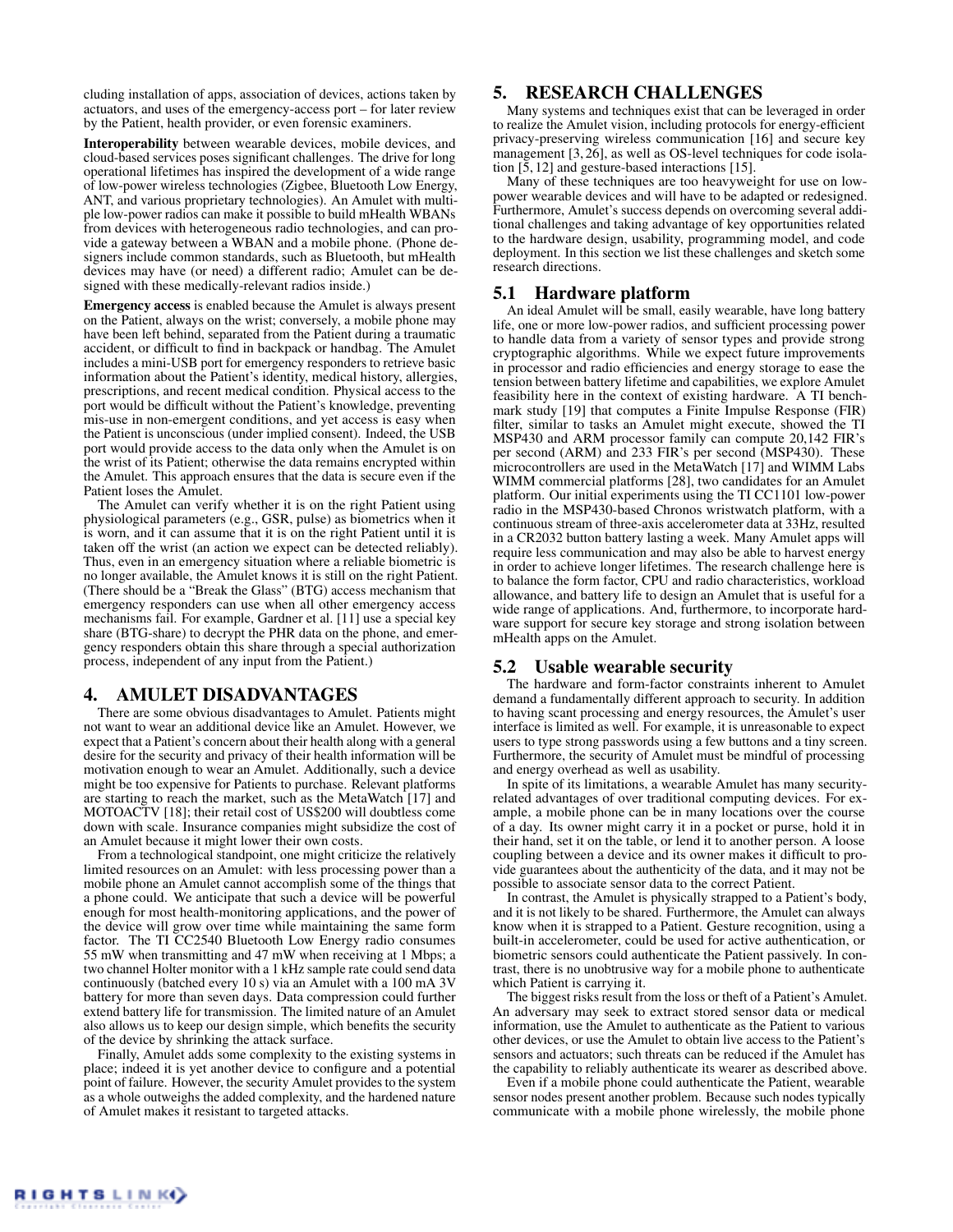cluding installation of apps, association of devices, actions taken by actuators, and uses of the emergency-access port – for later review by the Patient, health provider, or even forensic examiners.

Interoperability between wearable devices, mobile devices, and cloud-based services poses significant challenges. The drive for long operational lifetimes has inspired the development of a wide range of low-power wireless technologies (Zigbee, Bluetooth Low Energy, ANT, and various proprietary technologies). An Amulet with multiple low-power radios can make it possible to build mHealth WBANs from devices with heterogeneous radio technologies, and can provide a gateway between a WBAN and a mobile phone. (Phone designers include common standards, such as Bluetooth, but mHealth devices may have (or need) a different radio; Amulet can be designed with these medically-relevant radios inside.)

Emergency access is enabled because the Amulet is always present on the Patient, always on the wrist; conversely, a mobile phone may have been left behind, separated from the Patient during a traumatic accident, or difficult to find in backpack or handbag. The Amulet includes a mini-USB port for emergency responders to retrieve basic information about the Patient's identity, medical history, allergies, prescriptions, and recent medical condition. Physical access to the port would be difficult without the Patient's knowledge, preventing mis-use in non-emergent conditions, and yet access is easy when the Patient is unconscious (under implied consent). Indeed, the USB port would provide access to the data only when the Amulet is on the wrist of its Patient; otherwise the data remains encrypted within the Amulet. This approach ensures that the data is secure even if the Patient loses the Amulet.

The Amulet can verify whether it is on the right Patient using physiological parameters (e.g., GSR, pulse) as biometrics when it is worn, and it can assume that it is on the right Patient until it is taken off the wrist (an action we expect can be detected reliably). Thus, even in an emergency situation where a reliable biometric is no longer available, the Amulet knows it is still on the right Patient. (There should be a "Break the Glass" (BTG) access mechanism that emergency responders can use when all other emergency access mechanisms fail. For example, Gardner et al. [\[11\]](#page-5-17) use a special key share (BTG-share) to decrypt the PHR data on the phone, and emergency responders obtain this share through a special authorization process, independent of any input from the Patient.)

# 4. AMULET DISADVANTAGES

There are some obvious disadvantages to Amulet. Patients might not want to wear an additional device like an Amulet. However, we expect that a Patient's concern about their health along with a general desire for the security and privacy of their health information will be motivation enough to wear an Amulet. Additionally, such a device might be too expensive for Patients to purchase. Relevant platforms are starting to reach the market, such as the MetaWatch [\[17\]](#page-5-18) and MOTOACTV [\[18\]](#page-5-19); their retail cost of US\$200 will doubtless come down with scale. Insurance companies might subsidize the cost of an Amulet because it might lower their own costs.

From a technological standpoint, one might criticize the relatively limited resources on an Amulet: with less processing power than a mobile phone an Amulet cannot accomplish some of the things that a phone could. We anticipate that such a device will be powerful enough for most health-monitoring applications, and the power of the device will grow over time while maintaining the same form factor. The TI CC2540 Bluetooth Low Energy radio consumes 55 mW when transmitting and 47 mW when receiving at 1 Mbps; a two channel Holter monitor with a 1 kHz sample rate could send data continuously (batched every 10 s) via an Amulet with a 100 mA 3V battery for more than seven days. Data compression could further extend battery life for transmission. The limited nature of an Amulet also allows us to keep our design simple, which benefits the security of the device by shrinking the attack surface.

Finally, Amulet adds some complexity to the existing systems in place; indeed it is yet another device to configure and a potential point of failure. However, the security Amulet provides to the system as a whole outweighs the added complexity, and the hardened nature of Amulet makes it resistant to targeted attacks.

## 5. RESEARCH CHALLENGES

Many systems and techniques exist that can be leveraged in order to realize the Amulet vision, including protocols for energy-efficient privacy-preserving wireless communication [\[16\]](#page-5-20) and secure key management [\[3,](#page-5-21) [26\]](#page-5-22), as well as OS-level techniques for code isolation [\[5,](#page-5-23) [12\]](#page-5-24) and gesture-based interactions [\[15\]](#page-5-13).

Many of these techniques are too heavyweight for use on lowpower wearable devices and will have to be adapted or redesigned. Furthermore, Amulet's success depends on overcoming several additional challenges and taking advantage of key opportunities related to the hardware design, usability, programming model, and code deployment. In this section we list these challenges and sketch some research directions.

#### 5.1 Hardware platform

An ideal Amulet will be small, easily wearable, have long battery life, one or more low-power radios, and sufficient processing power to handle data from a variety of sensor types and provide strong cryptographic algorithms. While we expect future improvements in processor and radio efficiencies and energy storage to ease the tension between battery lifetime and capabilities, we explore Amulet feasibility here in the context of existing hardware. A TI benchmark study [\[19\]](#page-5-25) that computes a Finite Impulse Response (FIR) filter, similar to tasks an Amulet might execute, showed the TI MSP430 and ARM processor family can compute 20,142 FIR's per second (ARM) and 233 FIR's per second (MSP430). These microcontrollers are used in the MetaWatch [\[17\]](#page-5-18) and WIMM Labs WIMM commercial platforms [\[28\]](#page-5-26), two candidates for an Amulet platform. Our initial experiments using the TI CC1101 low-power radio in the MSP430-based Chronos wristwatch platform, with a continuous stream of three-axis accelerometer data at 33Hz, resulted in a CR2032 button battery lasting a week. Many Amulet apps will require less communication and may also be able to harvest energy in order to achieve longer lifetimes. The research challenge here is to balance the form factor, CPU and radio characteristics, workload allowance, and battery life to design an Amulet that is useful for a wide range of applications. And, furthermore, to incorporate hardware support for secure key storage and strong isolation between mHealth apps on the Amulet.

#### 5.2 Usable wearable security

The hardware and form-factor constraints inherent to Amulet demand a fundamentally different approach to security. In addition to having scant processing and energy resources, the Amulet's user interface is limited as well. For example, it is unreasonable to expect users to type strong passwords using a few buttons and a tiny screen. Furthermore, the security of Amulet must be mindful of processing and energy overhead as well as usability.

In spite of its limitations, a wearable Amulet has many securityrelated advantages of over traditional computing devices. For example, a mobile phone can be in many locations over the course of a day. Its owner might carry it in a pocket or purse, hold it in their hand, set it on the table, or lend it to another person. A loose coupling between a device and its owner makes it difficult to provide guarantees about the authenticity of the data, and it may not be possible to associate sensor data to the correct Patient.

In contrast, the Amulet is physically strapped to a Patient's body, and it is not likely to be shared. Furthermore, the Amulet can always know when it is strapped to a Patient. Gesture recognition, using a built-in accelerometer, could be used for active authentication, or biometric sensors could authenticate the Patient passively. In contrast, there is no unobtrusive way for a mobile phone to authenticate which Patient is carrying it.

The biggest risks result from the loss or theft of a Patient's Amulet. An adversary may seek to extract stored sensor data or medical information, use the Amulet to authenticate as the Patient to various other devices, or use the Amulet to obtain live access to the Patient's sensors and actuators; such threats can be reduced if the Amulet has the capability to reliably authenticate its wearer as described above.

Even if a mobile phone could authenticate the Patient, wearable sensor nodes present another problem. Because such nodes typically communicate with a mobile phone wirelessly, the mobile phone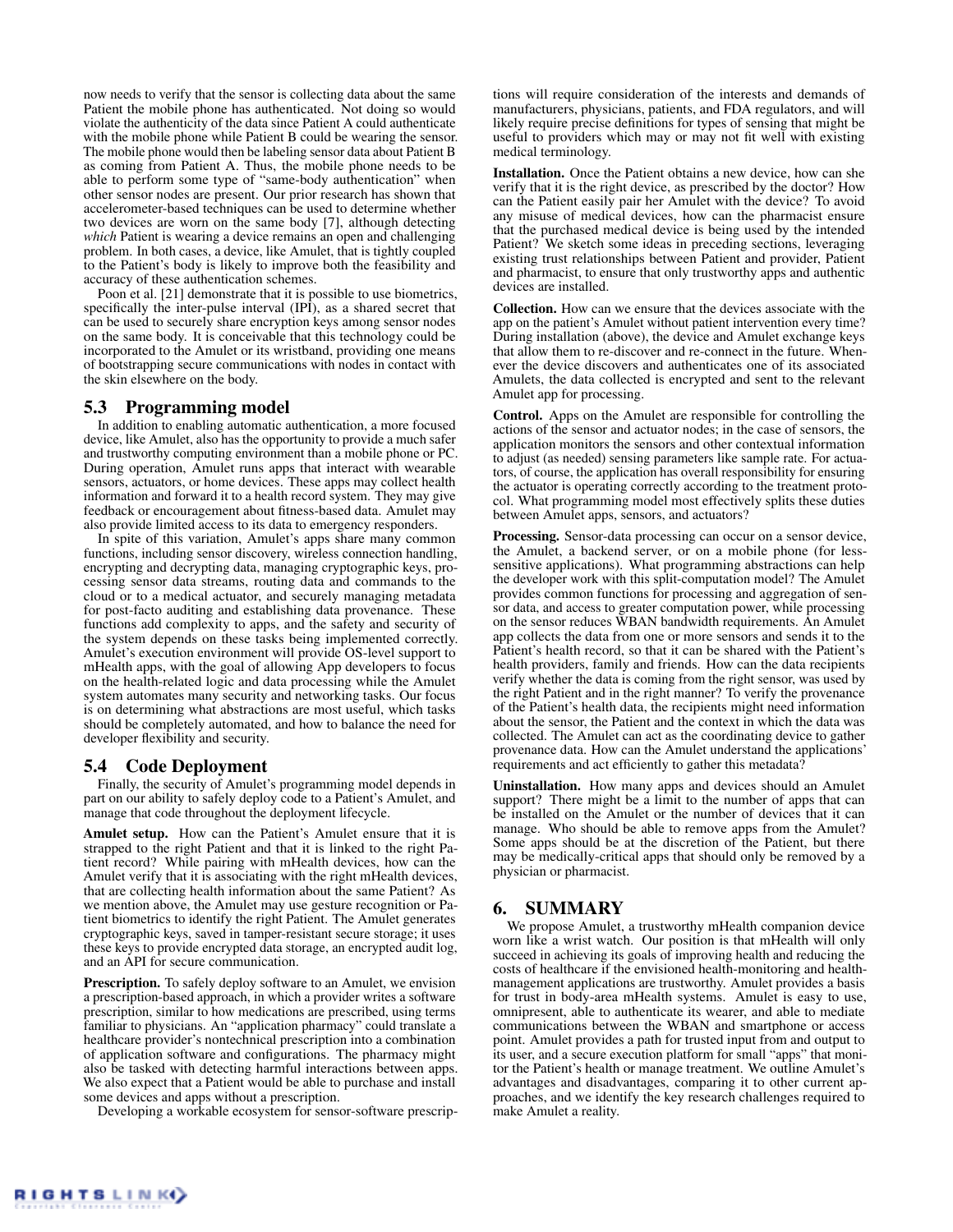now needs to verify that the sensor is collecting data about the same Patient the mobile phone has authenticated. Not doing so would violate the authenticity of the data since Patient A could authenticate with the mobile phone while Patient B could be wearing the sensor. The mobile phone would then be labeling sensor data about Patient B as coming from Patient A. Thus, the mobile phone needs to be able to perform some type of "same-body authentication" when other sensor nodes are present. Our prior research has shown that accelerometer-based techniques can be used to determine whether two devices are worn on the same body [\[7\]](#page-5-11), although detecting *which* Patient is wearing a device remains an open and challenging problem. In both cases, a device, like Amulet, that is tightly coupled to the Patient's body is likely to improve both the feasibility and accuracy of these authentication schemes.

Poon et al. [\[21\]](#page-5-27) demonstrate that it is possible to use biometrics, specifically the inter-pulse interval (IPI), as a shared secret that can be used to securely share encryption keys among sensor nodes on the same body. It is conceivable that this technology could be incorporated to the Amulet or its wristband, providing one means of bootstrapping secure communications with nodes in contact with the skin elsewhere on the body.

#### 5.3 Programming model

In addition to enabling automatic authentication, a more focused device, like Amulet, also has the opportunity to provide a much safer and trustworthy computing environment than a mobile phone or PC. During operation, Amulet runs apps that interact with wearable sensors, actuators, or home devices. These apps may collect health information and forward it to a health record system. They may give feedback or encouragement about fitness-based data. Amulet may also provide limited access to its data to emergency responders.

In spite of this variation, Amulet's apps share many common functions, including sensor discovery, wireless connection handling, encrypting and decrypting data, managing cryptographic keys, processing sensor data streams, routing data and commands to the cloud or to a medical actuator, and securely managing metadata for post-facto auditing and establishing data provenance. These functions add complexity to apps, and the safety and security of the system depends on these tasks being implemented correctly. Amulet's execution environment will provide OS-level support to mHealth apps, with the goal of allowing App developers to focus on the health-related logic and data processing while the Amulet system automates many security and networking tasks. Our focus is on determining what abstractions are most useful, which tasks should be completely automated, and how to balance the need for developer flexibility and security.

#### 5.4 Code Deployment

Finally, the security of Amulet's programming model depends in part on our ability to safely deploy code to a Patient's Amulet, and manage that code throughout the deployment lifecycle.

Amulet setup. How can the Patient's Amulet ensure that it is strapped to the right Patient and that it is linked to the right Patient record? While pairing with mHealth devices, how can the Amulet verify that it is associating with the right mHealth devices, that are collecting health information about the same Patient? As we mention above, the Amulet may use gesture recognition or Patient biometrics to identify the right Patient. The Amulet generates cryptographic keys, saved in tamper-resistant secure storage; it uses these keys to provide encrypted data storage, an encrypted audit log, and an API for secure communication.

Prescription. To safely deploy software to an Amulet, we envision a prescription-based approach, in which a provider writes a software prescription, similar to how medications are prescribed, using terms familiar to physicians. An "application pharmacy" could translate a healthcare provider's nontechnical prescription into a combination of application software and configurations. The pharmacy might also be tasked with detecting harmful interactions between apps. We also expect that a Patient would be able to purchase and install some devices and apps without a prescription.

Developing a workable ecosystem for sensor-software prescrip-

tions will require consideration of the interests and demands of manufacturers, physicians, patients, and FDA regulators, and will likely require precise definitions for types of sensing that might be useful to providers which may or may not fit well with existing medical terminology.

Installation. Once the Patient obtains a new device, how can she verify that it is the right device, as prescribed by the doctor? How can the Patient easily pair her Amulet with the device? To avoid any misuse of medical devices, how can the pharmacist ensure that the purchased medical device is being used by the intended Patient? We sketch some ideas in preceding sections, leveraging existing trust relationships between Patient and provider, Patient and pharmacist, to ensure that only trustworthy apps and authentic devices are installed.

Collection. How can we ensure that the devices associate with the app on the patient's Amulet without patient intervention every time? During installation (above), the device and Amulet exchange keys that allow them to re-discover and re-connect in the future. Whenever the device discovers and authenticates one of its associated Amulets, the data collected is encrypted and sent to the relevant Amulet app for processing.

Control. Apps on the Amulet are responsible for controlling the actions of the sensor and actuator nodes; in the case of sensors, the application monitors the sensors and other contextual information to adjust (as needed) sensing parameters like sample rate. For actuators, of course, the application has overall responsibility for ensuring the actuator is operating correctly according to the treatment protocol. What programming model most effectively splits these duties between Amulet apps, sensors, and actuators?

Processing. Sensor-data processing can occur on a sensor device, the Amulet, a backend server, or on a mobile phone (for lesssensitive applications). What programming abstractions can help the developer work with this split-computation model? The Amulet provides common functions for processing and aggregation of sensor data, and access to greater computation power, while processing on the sensor reduces WBAN bandwidth requirements. An Amulet app collects the data from one or more sensors and sends it to the Patient's health record, so that it can be shared with the Patient's health providers, family and friends. How can the data recipients verify whether the data is coming from the right sensor, was used by the right Patient and in the right manner? To verify the provenance of the Patient's health data, the recipients might need information about the sensor, the Patient and the context in which the data was collected. The Amulet can act as the coordinating device to gather provenance data. How can the Amulet understand the applications' requirements and act efficiently to gather this metadata?

Uninstallation. How many apps and devices should an Amulet support? There might be a limit to the number of apps that can be installed on the Amulet or the number of devices that it can manage. Who should be able to remove apps from the Amulet? Some apps should be at the discretion of the Patient, but there may be medically-critical apps that should only be removed by a physician or pharmacist.

#### 6. SUMMARY

We propose Amulet, a trustworthy mHealth companion device worn like a wrist watch. Our position is that mHealth will only succeed in achieving its goals of improving health and reducing the costs of healthcare if the envisioned health-monitoring and healthmanagement applications are trustworthy. Amulet provides a basis for trust in body-area mHealth systems. Amulet is easy to use, omnipresent, able to authenticate its wearer, and able to mediate communications between the WBAN and smartphone or access point. Amulet provides a path for trusted input from and output to its user, and a secure execution platform for small "apps" that monitor the Patient's health or manage treatment. We outline Amulet's advantages and disadvantages, comparing it to other current approaches, and we identify the key research challenges required to make Amulet a reality.